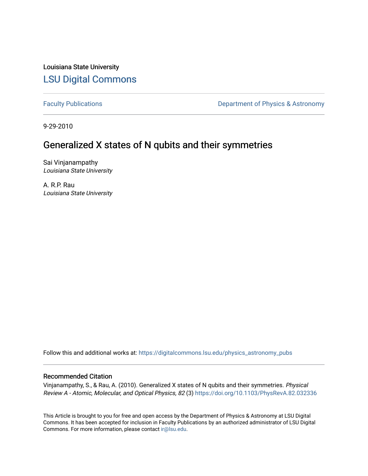Louisiana State University [LSU Digital Commons](https://digitalcommons.lsu.edu/)

[Faculty Publications](https://digitalcommons.lsu.edu/physics_astronomy_pubs) **Exercise 2** Constant Department of Physics & Astronomy

9-29-2010

## Generalized X states of N qubits and their symmetries

Sai Vinjanampathy Louisiana State University

A. R.P. Rau Louisiana State University

Follow this and additional works at: [https://digitalcommons.lsu.edu/physics\\_astronomy\\_pubs](https://digitalcommons.lsu.edu/physics_astronomy_pubs?utm_source=digitalcommons.lsu.edu%2Fphysics_astronomy_pubs%2F4502&utm_medium=PDF&utm_campaign=PDFCoverPages) 

## Recommended Citation

Vinjanampathy, S., & Rau, A. (2010). Generalized X states of N qubits and their symmetries. Physical Review A - Atomic, Molecular, and Optical Physics, 82 (3) <https://doi.org/10.1103/PhysRevA.82.032336>

This Article is brought to you for free and open access by the Department of Physics & Astronomy at LSU Digital Commons. It has been accepted for inclusion in Faculty Publications by an authorized administrator of LSU Digital Commons. For more information, please contact [ir@lsu.edu](mailto:ir@lsu.edu).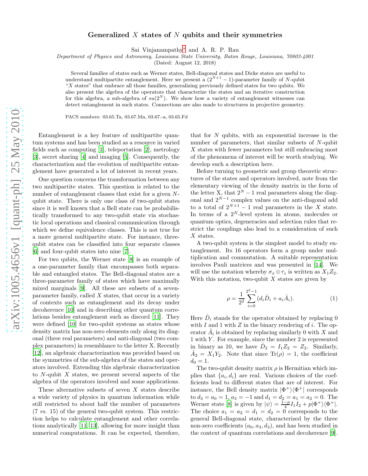## Generalized  $X$  states of  $N$  qubits and their symmetries

Sai Vinjanampathy[∗](#page-4-0) and A. R. P. Rau

Department of Physics and Astronomy, Louisiana State University, Baton Rouge, Louisiana, 70803-4001

(Dated: August 12, 2018)

Several families of states such as Werner states, Bell-diagonal states and Dicke states are useful to understand multipartite entanglement. Here we present a  $(2^{N+1} - 1)$ -parameter family of N-qubit "X states" that embrace all those families, generalizing previously defined states for two qubits. We also present the algebra of the operators that characterize the states and an iterative construction for this algebra, a sub-algebra of  $su(2^N)$ . We show how a variety of entanglement witnesses can detect entanglement in such states. Connections are also made to structures in projective geometry.

PACS numbers: 03.65.Ta, 03.67.Mn, 03.67.-a, 03.65.Fd

Entanglement is a key feature of multipartite quantum systems and has been studied as a resource in varied fields such as computing [\[1\]](#page-4-1), teleportation [\[2\]](#page-4-2), metrology [\[3\]](#page-4-3), secret sharing [\[4](#page-4-4)] and imaging [\[5\]](#page-4-5). Consequently, the characterization and the evolution of multipartite entanglement have generated a lot of interest in recent years.

One question concerns the transformation between any two multipartite states. This question is related to the number of entanglement classes that exist for a given Nqubit state. There is only one class of two-qubit states since it is well known that a Bell state can be probabilistically transformed to any two-qubit state via stochastic local operations and classical communication through which we define equivalence classes. This is not true for a more general multipartite state. For instance, threequbit states can be classified into four separate classes [\[6\]](#page-4-6) and four-qubit states into nine [\[7](#page-4-7)].

For two qubits, the Werner state [\[8\]](#page-4-8) is an example of a one-parameter family that encompasses both separable and entangled states. The Bell-diagonal states are a three-parameter family of states which have maximally mixed marginals [\[9](#page-4-9)]. All these are subsets of a sevenparameter family, called  $X$  states, that occur in a variety of contexts such as entanglement and its decay under decoherence [\[10](#page-4-10)] and in describing other quantum correlations besides entanglement such as discord [\[11\]](#page-4-11). They were defined [\[10](#page-4-10)] for two-qubit systems as states whose density matrix has non-zero elements only along its diagonal (three real parameters) and anti-diagonal (two complex parameters) in resemblance to the letter X. Recently [\[12\]](#page-4-12), an algebraic characterization was provided based on the symmetries of the sub-algebra of the states and operators involved. Extending this algebraic characterization to  $N$ -qubit  $X$  states, we present several aspects of the algebra of the operators involved and some applications.

These alternative subsets of seven  $X$  states describe a wide variety of physics in quantum information while still restricted to about half the number of parameters (7 vs. 15) of the general two-qubit system. This restriction helps to calculate entanglement and other correlations analytically [\[11](#page-4-11), [13](#page-4-13)], allowing for more insight than numerical computations. It can be expected, therefore,

that for N qubits, with an exponential increase in the number of parameters, that similar subsets of N-qubit X states with fewer parameters but still embracing most of the phenomena of interest will be worth studying. We develop such a description here.

Before turning to geometric and group theoretic structures of the states and operators involved, note from the elementary viewing of the density matrix in the form of the letter X, that  $2^N - 1$  real parameters along the diagonal and  $2^{N-1}$  complex values on the anti-diagonal add to a total of  $2^{N+1} - 1$  real parameters in the X state. In terms of a  $2^N$ -level system in atoms, molecules or quantum optics, degeneracies and selection rules that restrict the couplings also lead to a consideration of such X states.

A two-qubit system is the simplest model to study entanglement. Its 16 operators form a group under multiplication and commutation. A suitable representation involves Pauli matrices and was presented in [\[14](#page-4-14)]. We will use the notation whereby  $\sigma_x \otimes \tau_z$  is written as  $X_1Z_2$ . With this notation, two-qubit  $X$  states are given by

<span id="page-1-0"></span>
$$
\rho = \frac{1}{2^2} \sum_{i=0}^{2^2 - 1} (d_i \hat{D}_i + a_i \hat{A}_i).
$$
 (1)

Here  $\hat{D}_i$  stands for the operator obtained by replacing 0 with I and 1 with  $Z$  in the binary rendering of i. The operator  $\hat{A}_i$  is obtained by replacing similarly 0 with X and 1 with Y . For example, since the number 2 is represented in binary as 10, we have  $\hat{D}_2 = I_1 Z_2 = Z_2$ . Similarly,  $\hat{A}_2 = X_1 Y_2$ . Note that since  $\text{Tr}(\rho) = 1$ , the coefficient  $d_0 = 1.$ 

The two-qubit density matrix  $\rho$  is Hermitian which implies that  $\{a_i, d_i\}$  are real. Various choices of the coefficients lead to different states that are of interest. For instance, the Bell density matrix  $|\Phi^+\rangle\langle\Phi^+|$  corresponds to  $d_3 = a_0 = 1$ ,  $a_3 = -1$  and  $d_1 = d_2 = a_1 = a_2 = 0$ . The Werner state [\[8](#page-4-8)] is given by  $|\psi\rangle = \frac{\tilde{1}-p}{4}I_1I_2 + p|\Phi^+\rangle\langle\Phi^+|$ . The choice  $a_1 = a_2 = d_1 = d_2 = 0$  corresponds to the general Bell-diagonal state, characterized by the three non-zero coefficients  $(a_0, a_3, d_3)$ , and has been studied in the context of quantum correlations and decoherence [\[9\]](#page-4-9).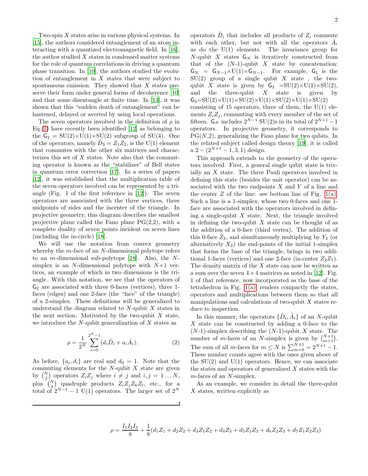Two-spin  $X$  states arise in various physical systems. In [\[15\]](#page-4-15), the authors considered entanglement of an atom interacting with a quantized electromagnetic field. In [\[16\]](#page-4-16), the author studied  $X$  states in condensed matter systems for the role of quantum correlations in driving a quantum phase transition. In [\[10\]](#page-4-10), the authors studied the evolution of entanglement in  $X$  states that were subject to spontaneous emission. They showed that  $X$  states preserve their form under general forms of decoherence [\[10](#page-4-10)] and that some disentangle at finite time. In [\[13\]](#page-4-13), it was shown that this "sudden death of entanglement" can be hastened, delayed or averted by using local operations.

The seven operators involved in the definition of  $\rho$  in Eq.[\(1\)](#page-1-0) have recently been identified  $[12]$  as belonging to the  $G_2 = SU(2) \times U(1) \times SU(2)$  subgroup of  $SU(4)$ . One of the operators, namely  $\hat{D}_3 = Z_1 Z_2$ , is the U(1) element that commutes with the other six matrices and characterizes this set of  $X$  states. Note also that the commuting operator is known as the "stabilizer" of Bell states in quantum error correction [\[17](#page-4-17)]. In a series of papers [\[12\]](#page-4-12), it was established that the multiplication table of the seven operators involved can be represented by a triangle (Fig. 1 of the first reference in [\[12\]](#page-4-12)). The seven operators are associated with the three vertices, three midpoints of sides and the incenter of the triangle. In projective geometry, this diagram describes the smallest projective plane called the Fano plane  $PG(2,2)$ , with a complete duality of seven points incident on seven lines (including the in-circle) [\[18\]](#page-4-18).

We will use the notation from convex geometry whereby the  $m$ -face of an  $N$ -dimensional polytope refers to an *m*-dimensional sub-polytope [\[18\]](#page-4-18). Also, the  $N$ simplex is an N-dimensional polytope with  $N+1$  vertices, an example of which in two dimensions is the triangle. With this notation, we see that the operators of  $G_2$  are associated with three 0-faces (vertices), three 1faces (edges) and one 2-face (the "face" of the triangle) of a 2-simplex. These definitions will be generalized to understand the diagram related to  $N$ -qubit  $X$  states in the next section. Motivated by the two-qubit  $X$  state, we introduce the  $N$ -qubit generalization of  $X$  states as

$$
\rho = \frac{1}{2^N} \sum_{i=0}^{2^N - 1} (d_i \hat{D}_i + a_i \hat{A}_i).
$$
 (2)

As before,  $\{a_i, d_i\}$  are real and  $d_0 = 1$ . Note that the commuting elements for the  $N$ -qubit  $X$  state are given by  $\binom{N}{2}$  operators  $Z_i Z_j$  where  $i \neq j$  and  $i, j = 1...N$ , plus  $\binom{N}{4}$  quadruple products  $Z_i Z_j Z_k Z_l$ , etc., for a total of  $2^{N-1} - 1$  U(1) operators. The larger set of  $2^N$ 

operators  $\hat{D}_i$  that includes all products of  $Z_i$  commute with each other, but not with all the operators  $\hat{A}_i$ as do the  $U(1)$  elements. The invariance group for N-qubit X states  $G_N$  is iteratively constructed from that of the  $(N-1)$ -qubit X state by concatenation:  $G_N = G_{N-1} \times U(1) \times G_{N-1}$ . For example,  $G_1$  is the  $SU(2)$  group of a single qubit X state, the twoqubit X state is given by  $G_2 = SU(2) \times U(1) \times SU(2)$ , and the three-qubit  $X$  state is given by  $G_3 = SU(2) \times U(1) \times SU(2) \times U(1) \times SU(2) \times U(1) \times SU(2)$ consisting of 15 operators, three of them, the  $U(1)$  elements  $Z_i Z_j$ , commuting with every member of the set of fifteen.  $G_N$  includes  $2^{N-1}$  SU(2)s in its total of  $2^{N+1} - 1$ operators. In projective geometry, it corresponds to  $PG(N,2)$ , generalizing the Fano plane for two qubits. In the related subject called design theory [\[19](#page-4-19)], it is called a  $2 - (2^{N+1} - 1, 3, 1)$  design.

This approach extends to the geometry of the operators involved. First, a general single qubit state is trivially an X state. The three Pauli operators involved in defining this state (besides the unit operator) can be associated with the two endpoints  $X$  and  $Y$  of a line and the center  $Z$  of the line: see bottom line of Fig. [1\(a\).](#page-4-20) Such a line is a 1-simplex, whose two 0-faces and one 1 face are associated with the operators involved in defining a single-qubit  $X$  state. Next, the triangle involved in defining the two-qubit  $X$  state can be thought of as the addition of a 0-face (third vertex). The addition of this 0-face  $Z_2$ , and simultaneously multiplying by  $Y_2$  (or alternatively  $X_2$ ) the end-points of the initial 1-simplex that forms the base of the triangle, brings in two additional 1-faces (vertices) and one 2-face (in-center  $Z_2Z_1$ ). The density matrix of the X state can now be written as a sum over the seven  $4 \times 4$  matrices as noted in [\[12](#page-4-12)]. Fig. 1 of that reference, now incorporated as the base of the tetrahedron in Fig. [1\(a\),](#page-4-20) renders compactly the states, operators and multiplications between them so that all manipulations and calculations of two-qubit X states reduce to inspection.

In this manner, the operators  $\{\hat{D}_i, \hat{A}_i\}$  of an N-qubit  $X$  state can be constructed by adding a 0-face to the  $(N-1)$ -simplex describing the  $(N-1)$ -qubit X state. The number of m-faces of an N-simplex is given by  $\binom{N+1}{m+1}$ . The sum of all m-faces for  $m \leq N$  is  $\sum_{m=0}^{N+1} = 2^{N+1} - 1$ . These number counts agree with the ones given above of the  $SU(2)$  and  $U(1)$  operators. Hence, we can associate the states and operators of generalized  $X$  states with the  $m$ -faces of an  $N$ -simplex.

As an example, we consider in detail the three-qubit X states, written explicitly as

<span id="page-2-0"></span>
$$
\rho=\frac{I_1I_2I_3}{8}+\frac{1}{8}(d_1Z_1+d_2Z_2+d_3Z_1Z_2+d_4Z_3+d_5Z_1Z_3+d_6Z_2Z_3+d_7Z_1Z_2Z_3)
$$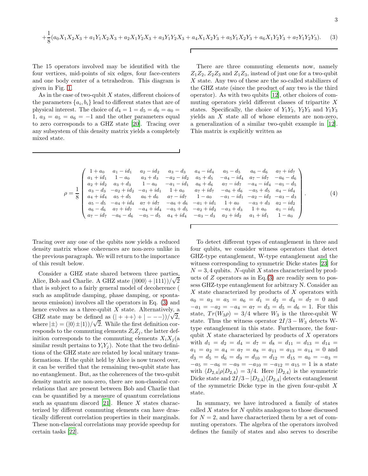$$
+\frac{1}{8}(a_0X_1X_2X_3 + a_1Y_1X_2X_3 + a_2X_1Y_2X_3 + a_3Y_1Y_2X_3 + a_4X_1X_2Y_3 + a_5Y_1X_2Y_3 + a_6X_1Y_2Y_3 + a_7Y_1Y_2Y_3).
$$
 (3)

The 15 operators involved may be identified with the four vertices, mid-points of six edges, four face-centers and one body center of a tetrahedron. This diagram is given in Fig. [1.](#page-4-21)

As in the case of two-qubit  $X$  states, different choices of the parameters  $\{a_i, b_i\}$  lead to different states that are of physical interest. The choice of  $d_4 = 1 = d_5 = d_6 = a_0$ 1,  $a_3 = a_5 = a_6 = -1$  and the other parameters equal to zero corresponds to a GHZ state [\[20](#page-4-22)]. Tracing over any subsystem of this density matrix yields a completely mixed state.

There are three commuting elements now, namely  $Z_1Z_2$ ,  $Z_2Z_3$  and  $Z_1Z_3$ , instead of just one for a two-qubit X state. Any two of these are the so-called stabilizers of the GHZ state (since the product of any two is the third operator). As with two qubits [\[12\]](#page-4-12), other choices of commuting operators yield different classes of tripartite X states. Specifically, the choice of  $Y_1Y_2$ ,  $Y_2Y_3$  and  $Y_1Y_3$ yields an X state all of whose elements are non-zero, a generalization of a similar two-qubit example in [\[12\]](#page-4-12). This matrix is explicitly written as

| $\left(\begin{array}{ccccccccc} 1+a_0 & a_1-id_1 & a_2-id_2 & a_3-d_3 & a_4-id_4 & a_5-d_5 & a_6-d_6 & a_7+id_7\\ a_1+id_1 & 1-a_0 & a_3+d_3 & -a_2-id_2 & a_5+d_5 & -a_4-id_4 & a_7-id_7 & -a_6-d_6\end{array}\right)$<br>$a_2 + id_2$ $a_3 + d_3$ $1 - a_0$ $-a_1 - id_1$ $a_6 + d_6$ $a_7 - id_7$ $-a_4 - id_4$ $-a_5 - d_5$<br>$\rho = \frac{1}{8} \begin{bmatrix} a_3 - d_3 & -a_2 + id_2 & -a_1 + id_1 & 1 + a_0 & a_7 + id_7 & -a_6 + d_6 & -a_5 + d_5 & a_4 - id_4 \\ a_4 + id_4 & a_5 + d_5 & a_6 + d_6 & a_7 - id_7 & 1 - a_0 & -a_1 - id_1 & -a_2 - id_2 & -a_3 - d_3 \end{bmatrix}$<br>$a_5-d_5\ \ -a_4+id_4\ \ a_7+id_7\ \ -a_6+d_6\ \ -a_1+id_1\ \ 1+a_0\ \ -a_3+d_3\ \ a_2-id_2$<br>$a_6-d_6$ $a_7+id_7$ $-a_4+id_4$ $-a_5+d_5$ $-a_2+id_2$ $-a_3+d_3$ $1+a_0$ $a_1-id_1$<br>$\begin{cases} a_7 - id_7 & -a_6 - d_6 & -a_5 - d_5 & a_4 + id_4 & -a_3 - d_3 & a_2 + id_2 & a_1 + id_1 & 1 - a_0 \end{cases}$ | (4) |
|----------------------------------------------------------------------------------------------------------------------------------------------------------------------------------------------------------------------------------------------------------------------------------------------------------------------------------------------------------------------------------------------------------------------------------------------------------------------------------------------------------------------------------------------------------------------------------------------------------------------------------------------------------------------------------------------------------------------------------------------------------------------------------------------------------------------------------------------------------------------------------------------------------------------------|-----|
|----------------------------------------------------------------------------------------------------------------------------------------------------------------------------------------------------------------------------------------------------------------------------------------------------------------------------------------------------------------------------------------------------------------------------------------------------------------------------------------------------------------------------------------------------------------------------------------------------------------------------------------------------------------------------------------------------------------------------------------------------------------------------------------------------------------------------------------------------------------------------------------------------------------------------|-----|

Г

Tracing over any one of the qubits now yields a reduced density matrix whose coherences are non-zero unlike in the previous paragraph. We will return to the importance of this result below.

Consider a GHZ state shared between three parties, Alice, Bob and Charlie. A GHZ state  $(|000\rangle + |111\rangle)/\sqrt{2}$ that is subject to a fairly general model of decoherence ( such as amplitude damping, phase damping, or spontaneous emission) involves all the operators in Eq. [\(3\)](#page-2-0) and hence evolves as a three-qubit  $X$  state. Alternatively, a GHZ state may be defined as  $(|+++\rangle + |---\rangle)/\sqrt{2}$ , where  $|\pm\rangle = (0 \pm |1\rangle)/\sqrt{2}$ . While the first definition corresponds to the commuting elements  $Z_iZ_j$ , the latter definition corresponds to the commuting elements  $X_i X_j$  (a similar result pertains to  $Y_i Y_j$ ). Note that the two definitions of the GHZ state are related by local unitary transformations. If the qubit held by Alice is now traced over, it can be verified that the remaining two-qubit state has no entanglement. But, as the coherences of the two-qubit density matrix are non-zero, there are non-classical correlations that are present between Bob and Charlie that can be quantified by a measure of quantum correlations such as quantum discord [\[21\]](#page-4-23). Hence  $X$  states characterized by different commuting elements can have drastically different correlation properties in their marginals. These non-classical correlations may provide speedup for certain tasks [\[22](#page-4-24)].

To detect different types of entanglement in three and four qubits, we consider witness operators that detect GHZ-type entanglement, W-type entanglement and the witness corresponding to symmetric Dicke states [\[23](#page-4-25)] for  $N = 3, 4$  qubits. N-qubit X states characterized by products of  $Z$  operators as in Eq.[\(3\)](#page-2-0) are readily seen to possess GHZ-type entanglement for arbitrary N. Consider an  $X$  state characterized by products of  $X$  operators with  $a_0 = a_3 = a_5 = a_6 = d_1 = d_2 = d_4 = d_7 = 0$  and  $-a_1 = -a_2 = -a_4 = a_7 = d_3 = d_5 = d_6 = 1$ . For this state,  $Tr(W_3 \rho) = 3/4$  where  $W_3$  is the three-qubit W state. Thus the witness operator  $2I/3 - W_3$  detects Wtype entanglement in this state. Furthermore, the fourqubit  $X$  state characterized by products of  $X$  operators with  $d_1 = d_2 = d_4 = d_7 = d_8 = d_{11} = d_{13} = d_{14} =$  $a_1 = a_2 = a_4 = a_7 = a_8 = a_{11} = a_{13} = a_{14} = 0$  and  $d_3 = d_5 = d_6 = d_9 = d_{10} = d_{12} = d_{15} = a_0 = -a_3 =$  $-a_5 = -a_6 = -a_9 = -a_{10} = -a_{12} = a_{15} = 1$  is a state with  $\langle D_{2,4}|\rho|D_{2,4}\rangle = 3/4$ . Here  $|D_{2,4}\rangle$  is the symmetric Dicke state and  $2I/3-|D_{2,4}\rangle\langle D_{2,4}|$  detects entanglement of the symmetric Dicke type in the given four-qubit  $X$ state.

In summary, we have introduced a family of states called  $X$  states for  $N$  qubits analogous to those discussed for  $N = 2$ , and have characterized them by a set of commuting operators. The algebra of the operators involved defines the family of states and also serves to describe